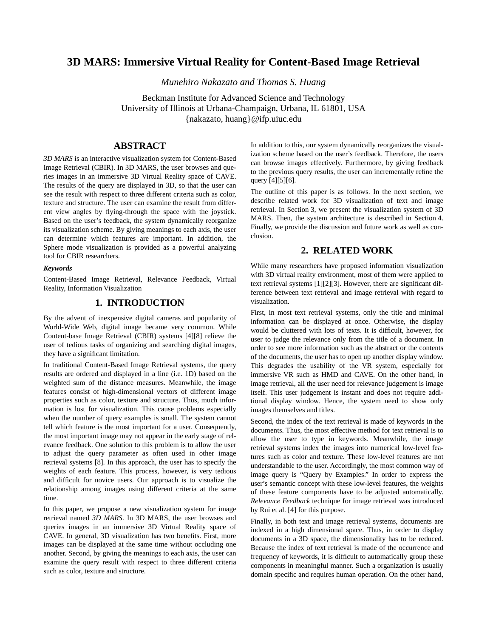# **3D MARS: Immersive Virtual Reality for Content-Based Image Retrieval**

*Munehiro Nakazato and Thomas S. Huang*

Beckman Institute for Advanced Science and Technology University of Illinois at Urbana-Champaign, Urbana, IL 61801, USA {nakazato, huang}@ifp.uiuc.edu

# **ABSTRACT**

*3D MARS* is an interactive visualization system for Content-Based Image Retrieval (CBIR). In 3D MARS, the user browses and queries images in an immersive 3D Virtual Reality space of CAVE. The results of the query are displayed in 3D, so that the user can see the result with respect to three different criteria such as color, texture and structure. The user can examine the result from different view angles by flying-through the space with the joystick. Based on the user's feedback, the system dynamically reorganize its visualization scheme. By giving meanings to each axis, the user can determine which features are important. In addition, the Sphere mode visualization is provided as a powerful analyzing tool for CBIR researchers.

#### *Keywords*

Content-Based Image Retrieval, Relevance Feedback, Virtual Reality, Information Visualization

### **1. INTRODUCTION**

By the advent of inexpensive digital cameras and popularity of World-Wide Web, digital image became very common. While Content-base Image Retrieval (CBIR) systems [\[4\]](#page-3-2)[\[8\]](#page-3-3) relieve the user of tedious tasks of organizing and searching digital images, they have a significant limitation.

In traditional Content-Based Image Retrieval systems, the query results are ordered and displayed in a line (i.e. 1D) based on the weighted sum of the distance measures. Meanwhile, the image features consist of high-dimensional vectors of different image properties such as color, texture and structure. Thus, much information is lost for visualization. This cause problems especially when the number of query examples is small. The system cannot tell which feature is the most important for a user. Consequently, the most important image may not appear in the early stage of relevance feedback. One solution to this problem is to allow the user to adjust the query parameter as often used in other image retrieval systems [\[8\]](#page-3-3). In this approach, the user has to specify the weights of each feature. This process, however, is very tedious and difficult for novice users. Our approach is to visualize the relationship among images using different criteria at the same time.

In this paper, we propose a new visualization system for image retrieval named *3D MARS*. In 3D MARS, the user browses and queries images in an immersive 3D Virtual Reality space of CAVE. In general, 3D visualization has two benefits. First, more images can be displayed at the same time without occluding one another. Second, by giving the meanings to each axis, the user can examine the query result with respect to three different criteria such as color, texture and structure.

In addition to this, our system dynamically reorganizes the visualization scheme based on the user's feedback. Therefore, the users can browse images effectively. Furthermore, by giving feedback to the previous query results, the user can incrementally refine the query [\[4\]](#page-3-2)[\[5\]](#page-3-4)[\[6\].](#page-3-5)

The outline of this paper is as follows. In the next section, we describe related work for 3D visualization of text and image retrieval. In [Section 3](#page-1-0), we present the visualization system of 3D MARS. Then, the system architecture is described in [Section 4.](#page-1-1) Finally, we provide the discussion and future work as well as conclusion.

### **2. RELATED WORK**

While many researchers have proposed information visualization with 3D virtual reality environment, most of them were applied to text retrieval systems [\[1\]](#page-3-0)[\[2\]](#page-3-1)[\[3\].](#page-3-6) However, there are significant difference between text retrieval and image retrieval with regard to visualization.

First, in most text retrieval systems, only the title and minimal information can be displayed at once. Otherwise, the display would be cluttered with lots of texts. It is difficult, however, for user to judge the relevance only from the title of a document. In order to see more information such as the abstract or the contents of the documents, the user has to open up another display window. This degrades the usability of the VR system, especially for immersive VR such as HMD and CAVE. On the other hand, in image retrieval, all the user need for relevance judgement is image itself. This user judgement is instant and does not require additional display window. Hence, the system need to show only images themselves and titles.

Second, the index of the text retrieval is made of keywords in the documents. Thus, the most effective method for text retrieval is to allow the user to type in keywords. Meanwhile, the image retrieval systems index the images into numerical low-level features such as color and texture. These low-level features are not understandable to the user. Accordingly, the most common way of image query is "Query by Examples." In order to express the user's semantic concept with these low-level features, the weights of these feature components have to be adjusted automatically. *Relevance Feedback* technique for image retrieval was introduced by Rui et al. [\[4\]](#page-3-2) for this purpose.

Finally, in both text and image retrieval systems, documents are indexed in a high dimensional space. Thus, in order to display documents in a 3D space, the dimensionality has to be reduced. Because the index of text retrieval is made of the occurrence and frequency of keywords, it is difficult to automatically group these components in meaningful manner. Such a organization is usually domain specific and requires human operation. On the other hand,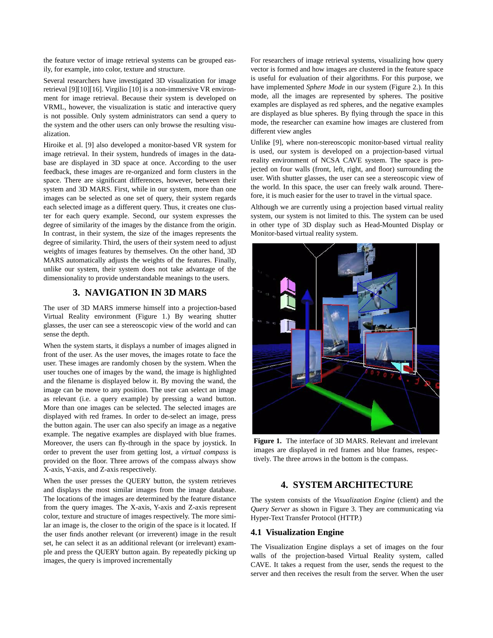the feature vector of image retrieval systems can be grouped easily, for example, into color, texture and structure.

Several researchers have investigated 3D visualization for image retrieval [\[9\]](#page-3-8)[\[10\]](#page-3-7)[\[16\]](#page-3-9). Virgilio [\[10\]](#page-3-7) is a non-immersive VR environment for image retrieval. Because their system is developed on VRML, however, the visualization is static and interactive query is not possible. Only system administrators can send a query to the system and the other users can only browse the resulting visualization.

Hiroike et al. [\[9\]](#page-3-8) also developed a monitor-based VR system for image retrieval. In their system, hundreds of images in the database are displayed in 3D space at once. According to the user feedback, these images are re-organized and form clusters in the space. There are significant differences, however, between their system and 3D MARS. First, while in our system, more than one images can be selected as one set of query, their system regards each selected image as a different query. Thus, it creates one cluster for each query example. Second, our system expresses the degree of similarity of the images by the distance from the origin. In contrast, in their system, the size of the images represents the degree of similarity. Third, the users of their system need to adjust weights of images features by themselves. On the other hand, 3D MARS automatically adjusts the weights of the features. Finally, unlike our system, their system does not take advantage of the dimensionality to provide understandable meanings to the users.

## **3. NAVIGATION IN 3D MARS**

<span id="page-1-0"></span>The user of 3D MARS immerse himself into a projection-based Virtual Reality environment ([Figure 1.\)](#page-1-3) By wearing shutter glasses, the user can see a stereoscopic view of the world and can sense the depth.

When the system starts, it displays a number of images aligned in front of the user. As the user moves, the images rotate to face the user. These images are randomly chosen by the system. When the user touches one of images by the wand, the image is highlighted and the filename is displayed below it. By moving the wand, the image can be move to any position. The user can select an image as relevant (i.e. a query example) by pressing a wand button. More than one images can be selected. The selected images are displayed with red frames. In order to de-select an image, press the button again. The user can also specify an image as a negative example. The negative examples are displayed with blue frames. Moreover, the users can fly-through in the space by joystick. In order to prevent the user from getting lost, a *virtual compass* is provided on the floor. Three arrows of the compass always show X-axis, Y-axis, and Z-axis respectively.

When the user presses the QUERY button, the system retrieves and displays the most similar images from the image database. The locations of the images are determined by the feature distance from the query images. The X-axis, Y-axis and Z-axis represent color, texture and structure of images respectively. The more similar an image is, the closer to the origin of the space is it located. If the user finds another relevant (or irreverent) image in the result set, he can select it as an additional relevant (or irrelevant) example and press the QUERY button again. By repeatedly picking up images, the query is improved incrementally

For researchers of image retrieval systems, visualizing how query vector is formed and how images are clustered in the feature space is useful for evaluation of their algorithms. For this purpose, we have implemented *Sphere Mode* in our system ([Figure 2.](#page-2-0)[\).](#page-1-2) In this mode, all the images are represented by spheres. The positive examples are displayed as red spheres, and the negative examples are displayed as blue spheres. By flying through the space in this mode, the researcher can examine how images are clustered from different view angles

Unlike [\[9\],](#page-3-8) where non-stereoscopic monitor-based virtual reality is used, our system is developed on a projection-based virtual reality environment of NCSA CAVE system. The space is projected on four walls (front, left, right, and floor) surrounding the user. With shutter glasses, the user can see a stereoscopic view of the world. In this space, the user can freely walk around. Therefore, it is much easier for the user to travel in the virtual space.

Although we are currently using a projection based virtual reality system, our system is not limited to this. The system can be used in other type of 3D display such as Head-Mounted Display or Monitor-based virtual reality system.



**Figure 1.** The interface of 3D MARS. Relevant and irrelevant images are displayed in red frames and blue frames, respectively. The three arrows in the bottom is the compass.

### <span id="page-1-3"></span>**4. SYSTEM ARCHITECTURE**

<span id="page-1-2"></span><span id="page-1-1"></span>The system consists of the *Visualization Engine* (client) and the *Query Server* as shown in Figure 3. They are communicating via Hyper-Text Transfer Protocol (HTTP.)

#### **4.1 Visualization Engine**

The Visualization Engine displays a set of images on the four walls of the projection-based Virtual Reality system, called CAVE. It takes a request from the user, sends the request to the server and then receives the result from the server. When the user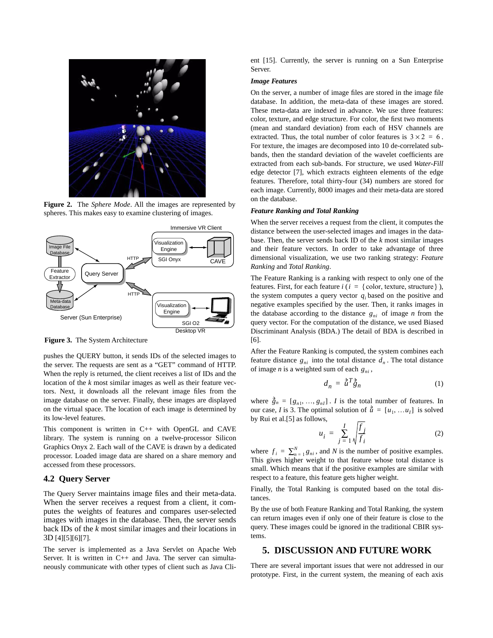

**Figure 2.** The *Sphere Mode*. All the images are represented by spheres. This makes easy to examine clustering of images.

<span id="page-2-0"></span>

**Figure 3.** The System Architecture

pushes the QUERY button, it sends IDs of the selected images to the server. The requests are sent as a "GET" command of HTTP. When the reply is returned, the client receives a list of IDs and the location of the *k* most similar images as well as their feature vectors. Next, it downloads all the relevant image files from the image database on the server. Finally, these images are displayed on the virtual space. The location of each image is determined by its low-level features.

This component is written in C++ with OpenGL and CAVE library. The system is running on a twelve-processor Silicon Graphics Onyx 2. Each wall of the CAVE is drawn by a dedicated processor. Loaded image data are shared on a share memory and accessed from these processors.

#### **4.2 Query Server**

The Query Server maintains image files and their meta-data. When the server receives a request from a client, it computes the weights of features and compares user-selected images with images in the database. Then, the server sends back IDs of the *k* most similar images and their locations in 3D [\[4\]](#page-3-2)[\[5\]](#page-3-4)[\[6\]](#page-3-5)[\[7\]](#page-3-10).

The server is implemented as a Java Servlet on Apache Web Server. It is written in C++ and Java. The server can simultaneously communicate with other types of client such as Java Client [\[15\].](#page-3-11) Currently, the server is running on a Sun Enterprise Server.

#### *Image Features*

On the server, a number of image files are stored in the image file database. In addition, the meta-data of these images are stored. These meta-data are indexed in advance. We use three features: color, texture, and edge structure. For color, the first two moments (mean and standard deviation) from each of HSV channels are extracted. Thus, the total number of color features is  $3 \times 2 = 6$ . For texture, the images are decomposed into 10 de-correlated subbands, then the standard deviation of the wavelet coefficients are extracted from each sub-bands. For structure, we used *Water-Fill* edge detector [\[7\]](#page-3-10), which extracts eighteen elements of the edge features. Therefore, total thirty-four (34) numbers are stored for each image. Currently, 8000 images and their meta-data are stored on the database.

#### *Feature Ranking and Total Ranking*

When the server receives a request from the client, it computes the distance between the user-selected images and images in the database. Then, the server sends back ID of the *k* most similar images and their feature vectors. In order to take advantage of three dimensional visualization, we use two ranking strategy: *Feature Ranking* and *Total Ranking*.

The Feature Ranking is a ranking with respect to only one of the features. First, for each feature  $i$  ( $i = \{$  color, texture, structure  $\}$ ), the system computes a query vector  $q_i$  based on the positive and negative examples specified by the user. Then, it ranks images in the database according to the distance  $g_{ni}$  of image *n* from the query vector. For the computation of the distance, we used Biased Discriminant Analysis (BDA.) The detail of BDA is described in [\[6\].](#page-3-5)

After the Feature Ranking is computed, the system combines each feature distance  $g_{ni}$  into the total distance  $d_n$ . The total distance of image *n* is a weighted sum of each  $g_{ni}$ ,

$$
d_n = \tilde{u}^T \tilde{g}_n \tag{1}
$$

where  $\vec{g}_n = [g_{n1}, ..., g_{nI}]$ . *I* is the total number of features. In our case, *I* is 3. The optimal solution of  $\vec{u} = [u_1, \dots u_I]$  is solved by Rui et al[.\[5\]](#page-3-4) as follows,

$$
u_i = \sum_{j=1}^{I} \sqrt{\frac{f_j}{f_i}} \tag{2}
$$

where  $f_i = \sum_{n=1}^{N} g_{ni}$ , and *N* is the number of positive examples. This gives higher weight to that feature whose total distance is small. Which means that if the positive examples are similar with respect to a feature, this feature gets higher weight.

Finally, the Total Ranking is computed based on the total distances.

By the use of both Feature Ranking and Total Ranking, the system can return images even if only one of their feature is close to the query. These images could be ignored in the traditional CBIR systems.

### **5. DISCUSSION AND FUTURE WORK**

There are several important issues that were not addressed in our prototype. First, in the current system, the meaning of each axis